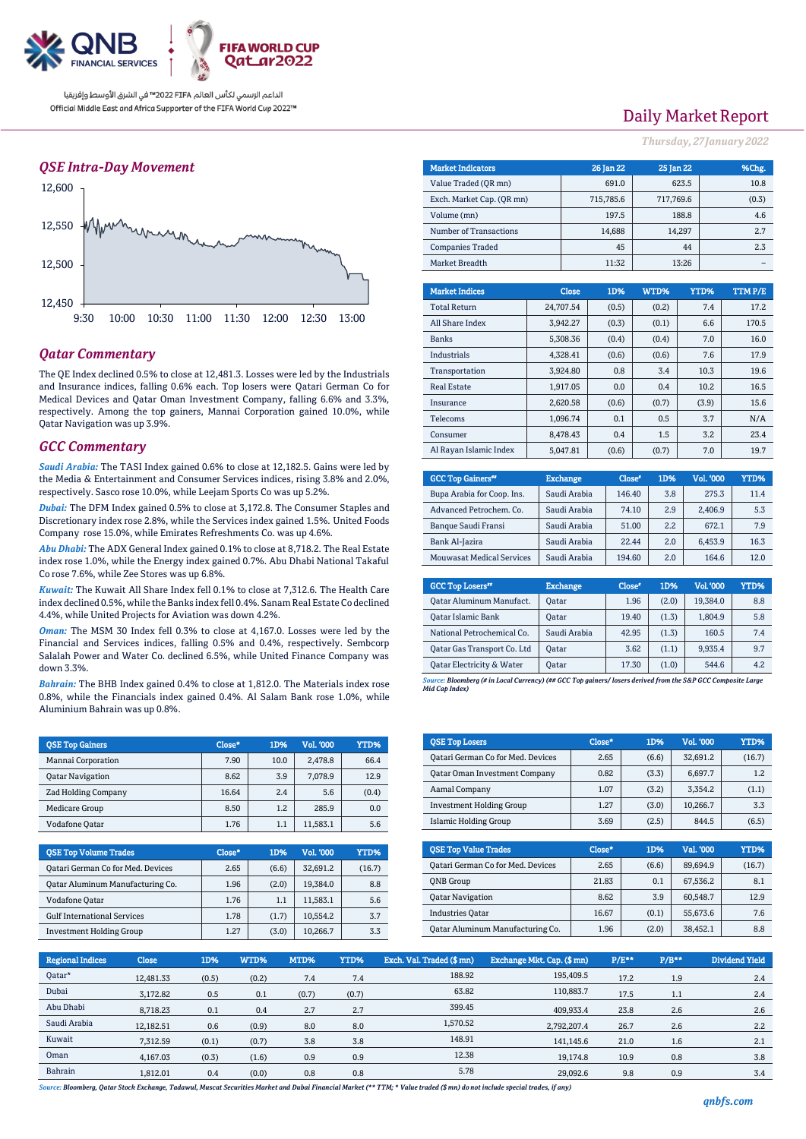

الداعم الرسمي لكأس العالم PIFA≤™ في الشرق الأوسط وإفريقيا Official Middle East and Africa Supporter of the FIFA World Cup 2022™

#### *QSE Intra-Day Movement*



### *Qatar Commentary*

The QE Index declined 0.5% to close at 12,481.3. Losses were led by the Industrials and Insurance indices, falling 0.6% each. Top losers were Qatari German Co for Medical Devices and Qatar Oman Investment Company, falling 6.6% and 3.3%, respectively. Among the top gainers, Mannai Corporation gained 10.0%, while Qatar Navigation was up 3.9%.

#### *GCC Commentary*

*Saudi Arabia:* The TASI Index gained 0.6% to close at 12,182.5. Gains were led by the Media & Entertainment and Consumer Services indices, rising 3.8% and 2.0%, respectively. Sasco rose 10.0%, while Leejam Sports Co was up 5.2%.

*Dubai:* The DFM Index gained 0.5% to close at 3,172.8. The Consumer Staples and Discretionary index rose 2.8%, while the Services index gained 1.5%. United Foods Company rose 15.0%, while Emirates Refreshments Co. was up 4.6%.

*Abu Dhabi:* The ADX General Index gained 0.1% to close at 8,718.2. The Real Estate index rose 1.0%, while the Energy index gained 0.7%. Abu Dhabi National Takaful Co rose 7.6%, while Zee Stores was up 6.8%.

*Kuwait:* The Kuwait All Share Index fell 0.1% to close at 7,312.6. The Health Care index declined 0.5%, while the Banks index fell 0.4%. Sanam Real Estate Co declined 4.4%, while United Projects for Aviation was down 4.2%.

*Oman:* The MSM 30 Index fell 0.3% to close at 4,167.0. Losses were led by the Financial and Services indices, falling 0.5% and 0.4%, respectively. Sembcorp Salalah Power and Water Co. declined 6.5%, while United Finance Company was down 3.3%.

*Bahrain:* The BHB Index gained 0.4% to close at 1,812.0. The Materials index rose 0.8%, while the Financials index gained 0.4%. Al Salam Bank rose 1.0%, while Aluminium Bahrain was up 0.8%.

| <b>OSE Top Gainers</b>     | Close* | 1D%  | Vol. '000 | YTD%  |
|----------------------------|--------|------|-----------|-------|
| Mannai Corporation         | 7.90   | 10.0 | 2.478.8   | 66.4  |
| <b>Qatar Navigation</b>    | 8.62   | 3.9  | 7,078.9   | 12.9  |
| <b>Zad Holding Company</b> | 16.64  | 2.4  | 5.6       | (0.4) |
| <b>Medicare Group</b>      | 8.50   | 1.2  | 285.9     | 0.0   |
| Vodafone Qatar             | 1.76   | 1.1  | 11,583.1  | 5.6   |

| <b>QSE Top Volume Trades</b>       | Close* | 1D%   | <b>Vol. '000</b> | YTD%   |
|------------------------------------|--------|-------|------------------|--------|
| Qatari German Co for Med. Devices  | 2.65   | (6.6) | 32.691.2         | (16.7) |
| Qatar Aluminum Manufacturing Co.   | 1.96   | (2.0) | 19.384.0         | 8.8    |
| Vodafone Qatar                     | 1.76   | 1.1   | 11.583.1         | 5.6    |
| <b>Gulf International Services</b> | 1.78   | (1.7) | 10.554.2         | 3.7    |
| <b>Investment Holding Group</b>    | 1.27   | (3.0) | 10.266.7         | 3.3    |

## Daily Market Report

*Thursday, 27January 2022*

| <b>Market Indicators</b>  |  |              | 26 Jan 22 | 25 Jan 22 |        |       | %Chg.  |  |
|---------------------------|--|--------------|-----------|-----------|--------|-------|--------|--|
| Value Traded (OR mn)      |  |              | 691.0     | 623.5     |        |       | 10.8   |  |
| Exch. Market Cap. (QR mn) |  |              | 715,785.6 | 717,769.6 |        |       | (0.3)  |  |
| Volume (mn)               |  |              | 197.5     |           | 188.8  |       | 4.6    |  |
| Number of Transactions    |  |              | 14,688    |           | 14,297 |       | 2.7    |  |
| <b>Companies Traded</b>   |  |              | 45        |           | 44     |       | 2.3    |  |
| Market Breadth            |  |              | 11:32     |           | 13:26  |       |        |  |
|                           |  |              |           |           |        |       |        |  |
| <b>Market Indices</b>     |  | <b>Close</b> | 1D%       | WTD%      | YTD%   |       | TTMP/E |  |
| <b>Total Return</b>       |  | 24,707.54    | (0.5)     | (0.2)     |        | 7.4   | 17.2   |  |
| All Share Index           |  | 3,942.27     | (0.3)     | (0.1)     |        | 6.6   | 170.5  |  |
| <b>Banks</b>              |  | 5,308.36     | (0.4)     | (0.4)     |        | 7.0   | 16.0   |  |
| <b>Industrials</b>        |  | 4,328.41     | (0.6)     | (0.6)     |        | 7.6   | 17.9   |  |
| Transportation            |  | 3,924.80     | 0.8       | 3.4       |        | 10.3  | 19.6   |  |
| <b>Real Estate</b>        |  | 1,917.05     | 0.0       | 0.4       |        | 10.2  | 16.5   |  |
| Insurance                 |  | 2,620.58     | (0.6)     | (0.7)     |        | (3.9) | 15.6   |  |
| Telecoms                  |  | 1,096.74     | 0.1       | 0.5       |        | 3.7   | N/A    |  |
| Consumer                  |  | 8,478.43     | 0.4       | 1.5       |        | 3.2   | 23.4   |  |

| <b>GCC Top Gainers</b> "         | <b>Exchange</b> | Close <sup>®</sup> | 1D% | Vol. '000 | YTD% |
|----------------------------------|-----------------|--------------------|-----|-----------|------|
| Bupa Arabia for Coop. Ins.       | Saudi Arabia    | 146.40             | 3.8 | 275.3     | 11.4 |
| Advanced Petrochem. Co.          | Saudi Arabia    | 74.10              | 2.9 | 2.406.9   | 5.3  |
| Banque Saudi Fransi              | Saudi Arabia    | 51.00              | 2.2 | 672.1     | 7.9  |
| Bank Al-Jazira                   | Saudi Arabia    | 22.44              | 2.0 | 6.453.9   | 16.3 |
| <b>Mouwasat Medical Services</b> | Saudi Arabia    | 194.60             | 2.0 | 164.6     | 12.0 |

Al Rayan Islamic Index 5,047.81 (0.6) (0.7) 7.0 19.7

| <b>GCC Top Losers</b> "            | <b>Exchange</b> | Close <sup>®</sup> | 1D%   | Vol. '000 | YTD% |
|------------------------------------|-----------------|--------------------|-------|-----------|------|
| Oatar Aluminum Manufact.           | Oatar           | 1.96               | (2.0) | 19.384.0  | 8.8  |
| Qatar Islamic Bank                 | <b>Oatar</b>    | 19.40              | (1.3) | 1,804.9   | 5.8  |
| National Petrochemical Co.         | Saudi Arabia    | 42.95              | (1.3) | 160.5     | 7.4  |
| <b>Qatar Gas Transport Co. Ltd</b> | <b>Oatar</b>    | 3.62               | (1.1) | 9.935.4   | 9.7  |
| Qatar Electricity & Water          | Oatar           | 17.30              | (1.0) | 544.6     | 4.2  |

*Source: Bloomberg (# in Local Currency) (## GCC Top gainers/ losers derived from the S&P GCC Composite Large Mid Cap Index)*

| <b>QSE Top Losers</b>                | Close* | 1D%   | <b>Vol. '000</b> | YTD%   |
|--------------------------------------|--------|-------|------------------|--------|
| Qatari German Co for Med. Devices    | 2.65   | (6.6) | 32.691.2         | (16.7) |
| <b>Qatar Oman Investment Company</b> | 0.82   | (3.3) | 6.697.7          | 1.2    |
| Aamal Company                        | 1.07   | (3.2) | 3.354.2          | (1.1)  |
| <b>Investment Holding Group</b>      | 1.27   | (3.0) | 10.266.7         | 3.3    |
| Islamic Holding Group                | 3.69   | (2.5) | 844.5            | (6.5)  |

| <b>OSE Top Value Trades</b>              | Close* | 1D%   | Val. '000 | YTD%   |
|------------------------------------------|--------|-------|-----------|--------|
| <b>Qatari German Co for Med. Devices</b> | 2.65   | (6.6) | 89.694.9  | (16.7) |
| <b>ONB</b> Group                         | 21.83  | 0.1   | 67,536.2  | 8.1    |
| <b>Qatar Navigation</b>                  | 8.62   | 3.9   | 60.548.7  | 12.9   |
| <b>Industries Oatar</b>                  | 16.67  | (0.1) | 55,673.6  | 7.6    |
| Oatar Aluminum Manufacturing Co.         | 1.96   | (2.0) | 38,452.1  | 8.8    |

| Regional Indices | <b>Close</b> | 1D%   | WTD%  | MTD%  | YTD%  | Exch. Val. Traded (\$ mn) | Exchange Mkt. Cap. (\$ mn) | $P/E**$ | $P/B**$ | <b>Dividend Yield</b> |
|------------------|--------------|-------|-------|-------|-------|---------------------------|----------------------------|---------|---------|-----------------------|
| Oatar*           | 12.481.33    | (0.5) | (0.2) | 7.4   | 7.4   | 188.92                    | 195,409.5                  | 17.2    | 1.9     | 2.4                   |
| Dubai            | 3,172.82     | 0.5   | 0.1   | (0.7) | (0.7) | 63.82                     | 110,883.7                  | 17.5    | 1.1     | 2.4                   |
| Abu Dhabi        | 8,718.23     | 0.1   | 0.4   | 2.7   | 2.7   | 399.45                    | 409,933.4                  | 23.8    | 2.6     | 2.6                   |
| Saudi Arabia     | 12,182.51    | 0.6   | (0.9) | 8.0   | 8.0   | 1.570.52                  | 2,792,207.4                | 26.7    | 2.6     | 2.2                   |
| Kuwait           | 7.312.59     | (0.1) | (0.7) | 3.8   | 3.8   | 148.91                    | 141.145.6                  | 21.0    | 1.6     | 2.1                   |
| Oman             | 4.167.03     | (0.3) | (1.6) | 0.9   | 0.9   | 12.38                     | 19.174.8                   | 10.9    | 0.8     | 3.8                   |
| Bahrain          | 1.812.01     | 0.4   | (0.0) | 0.8   | 0.8   | 5.78                      | 29,092.6                   | 9.8     | 0.9     | 3.4                   |

*Source: Bloomberg, Qatar Stock Exchange, Tadawul, Muscat Securities Market and Dubai Financial Market (\*\* TTM; \* Value traded (\$ mn) do not include special trades, if any)*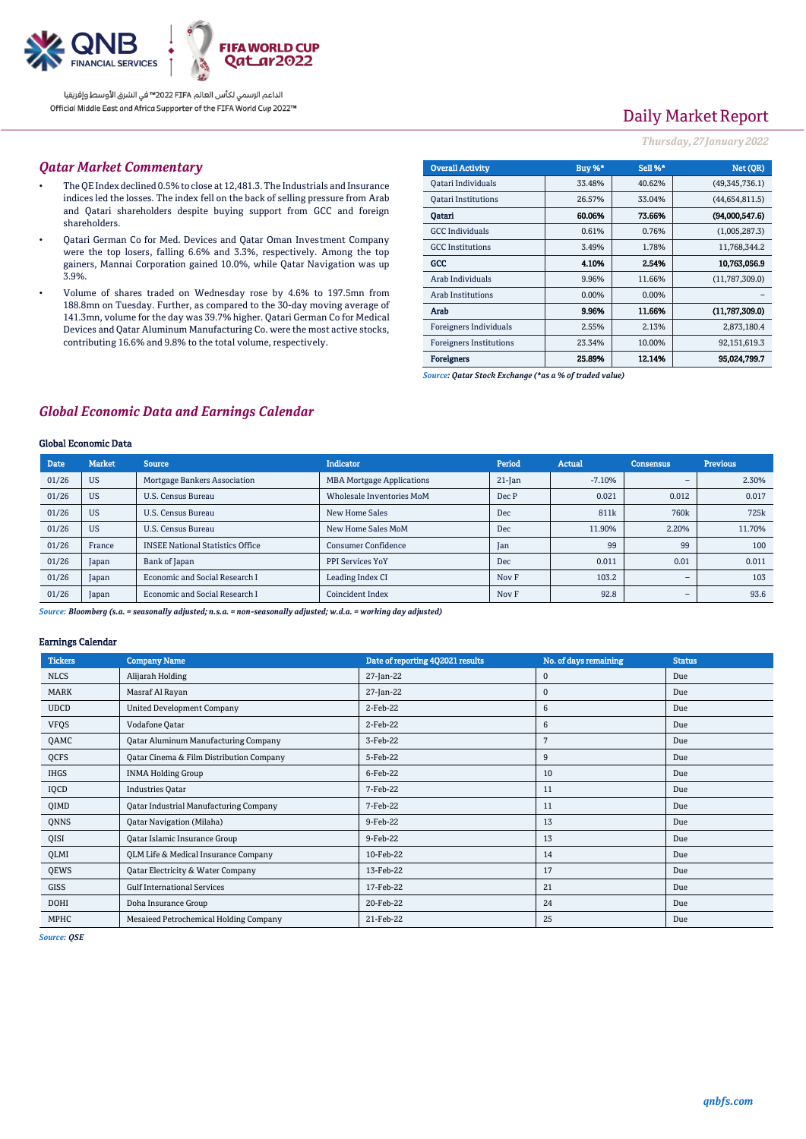

الداعم الرسمي لكأس العالم PIFA™ في الشرق الأوسط وإفريقيا Official Middle East and Africa Supporter of the FIFA World Cup 2022™

## Daily Market Report

#### *Thursday, 27January 2022*

#### *Qatar Market Commentary*

- The QE Index declined 0.5% to close at 12,481.3. The Industrials and Insurance indices led the losses. The index fell on the back of selling pressure from Arab and Qatari shareholders despite buying support from GCC and foreign shareholders.
- Qatari German Co for Med. Devices and Qatar Oman Investment Company were the top losers, falling 6.6% and 3.3%, respectively. Among the top gainers, Mannai Corporation gained 10.0%, while Qatar Navigation was up 3.9%.
- Volume of shares traded on Wednesday rose by 4.6% to 197.5mn from 188.8mn on Tuesday. Further, as compared to the 30-day moving average of 141.3mn, volume for the day was 39.7% higher. Qatari German Co for Medical Devices and Qatar Aluminum Manufacturing Co. were the most active stocks, contributing 16.6% and 9.8% to the total volume, respectively.

| <b>Overall Activity</b>        | Buy %* | Sell %* | Net (OR)       |
|--------------------------------|--------|---------|----------------|
| Qatari Individuals             | 33.48% | 40.62%  | (49,345,736.1) |
| <b>Oatari Institutions</b>     | 26.57% | 33.04%  | (44,654,811.5) |
| Oatari                         | 60.06% | 73.66%  | (94,000,547.6) |
| <b>GCC</b> Individuals         | 0.61%  | 0.76%   | (1,005,287.3)  |
| <b>GCC</b> Institutions        | 3.49%  | 1.78%   | 11,768,344.2   |
| GCC                            | 4.10%  | 2.54%   | 10,763,056.9   |
| Arab Individuals               | 9.96%  | 11.66%  | (11,787,309.0) |
| <b>Arab Institutions</b>       | 0.00%  | 0.00%   |                |
| Arab                           | 9.96%  | 11.66%  | (11,787,309.0) |
| <b>Foreigners Individuals</b>  | 2.55%  | 2.13%   | 2,873,180.4    |
| <b>Foreigners Institutions</b> | 23.34% | 10.00%  | 92,151,619.3   |
| <b>Foreigners</b>              | 25.89% | 12.14%  | 95.024.799.7   |

*Source: Qatar Stock Exchange (\*as a % of traded value)*

#### *Global Economic Data and Earnings Calendar*

#### Global Economic Data

| <b>Date</b> | <b>Market</b> | <b>Source</b>                           | <b>Indicator</b>                 | Period    | <b>Actual</b> | <b>Consensus</b> | <b>Previous</b> |
|-------------|---------------|-----------------------------------------|----------------------------------|-----------|---------------|------------------|-----------------|
| 01/26       | <b>US</b>     | Mortgage Bankers Association            | <b>MBA Mortgage Applications</b> | $21$ -Jan | $-7.10%$      | -                | 2.30%           |
| 01/26       | <b>US</b>     | <b>U.S. Census Bureau</b>               | Wholesale Inventories MoM        | Dec P     | 0.021         | 0.012            | 0.017           |
| 01/26       | <b>US</b>     | <b>U.S. Census Bureau</b>               | New Home Sales                   | Dec       | 811k          | 760 <sub>k</sub> | 725k            |
| 01/26       | <b>US</b>     | <b>U.S. Census Bureau</b>               | New Home Sales MoM               | Dec       | 11.90%        | 2.20%            | 11.70%          |
| 01/26       | France        | <b>INSEE National Statistics Office</b> | <b>Consumer Confidence</b>       | Jan       | 99            | 99               | 100             |
| 01/26       | Japan         | Bank of Japan                           | <b>PPI Services YoY</b>          | Dec       | 0.011         | 0.01             | 0.011           |
| 01/26       | Japan         | Economic and Social Research I          | Leading Index CI                 | Nov F     | 103.2         | -                | 103             |
| 01/26       | Japan         | Economic and Social Research I          | Coincident Index                 | Nov F     | 92.8          | -                | 93.6            |

*Source: Bloomberg (s.a. = seasonally adjusted; n.s.a. = non-seasonally adjusted; w.d.a. = working day adjusted)*

#### Earnings Calendar

| <b>Tickers</b> | <b>Company Name</b>                         | Date of reporting 4Q2021 results | No. of days remaining | <b>Status</b> |
|----------------|---------------------------------------------|----------------------------------|-----------------------|---------------|
| <b>NLCS</b>    | Alijarah Holding                            | 27-Jan-22                        | 0                     | Due           |
| MARK           | Masraf Al Rayan                             | 27-Jan-22                        | 0                     | Due           |
| <b>UDCD</b>    | <b>United Development Company</b>           | 2-Feb-22                         | 6                     | Due           |
| <b>VFQS</b>    | Vodafone Qatar                              | 2-Feb-22                         | 6                     | Due           |
| QAMC           | <b>Qatar Aluminum Manufacturing Company</b> | 3-Feb-22                         | 7                     | Due           |
| QCFS           | Qatar Cinema & Film Distribution Company    | 5-Feb-22                         | 9                     | Due           |
| IHGS           | <b>INMA Holding Group</b>                   | 6-Feb-22                         | 10                    | Due           |
| IQCD           | <b>Industries Qatar</b>                     | 7-Feb-22                         | 11                    | Due           |
| QIMD           | Qatar Industrial Manufacturing Company      | 7-Feb-22                         | 11                    | Due           |
| QNNS           | <b>Qatar Navigation (Milaha)</b>            | 9-Feb-22                         | 13                    | Due           |
| QISI           | Qatar Islamic Insurance Group               | 9-Feb-22                         | 13                    | Due           |
| QLMI           | QLM Life & Medical Insurance Company        | 10-Feb-22                        | 14                    | Due           |
| QEWS           | Qatar Electricity & Water Company           | 13-Feb-22                        | 17                    | Due           |
| GISS           | <b>Gulf International Services</b>          | 17-Feb-22                        | 21                    | Due           |
| DOHI           | Doha Insurance Group                        | 20-Feb-22                        | 24                    | Due           |
| MPHC           | Mesaieed Petrochemical Holding Company      | 21-Feb-22                        | 25                    | Due           |

*Source: QSE*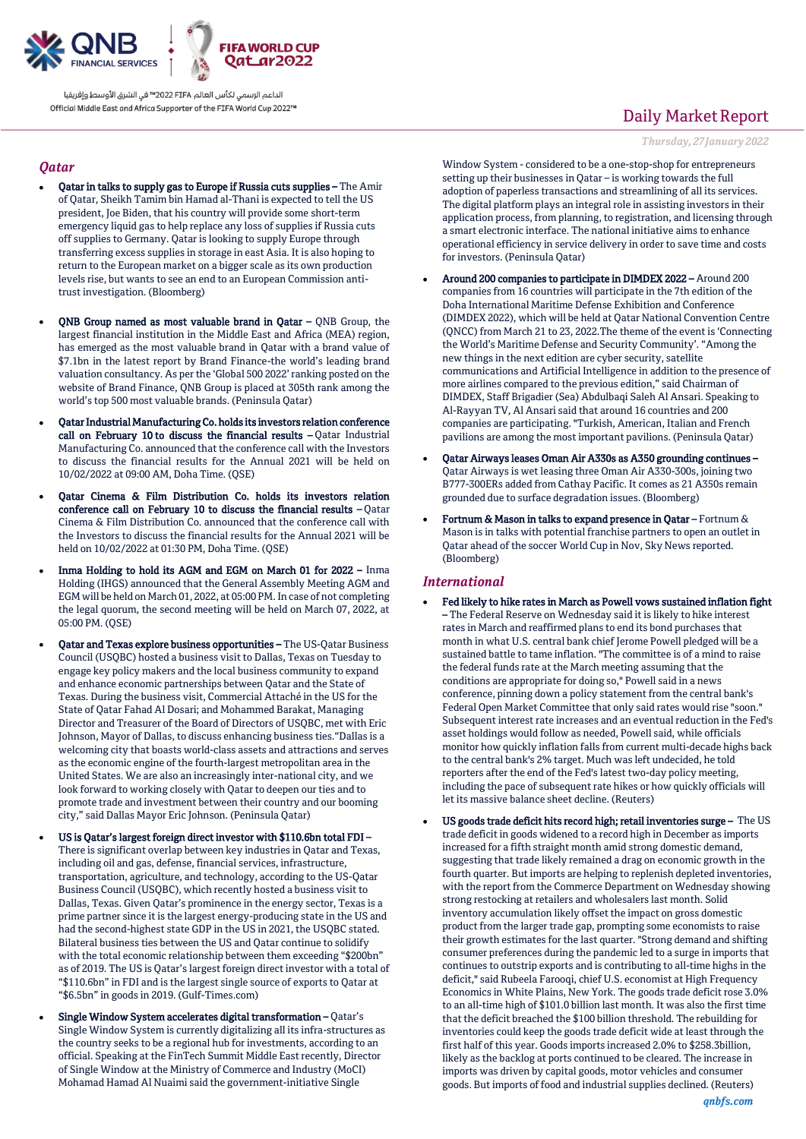

الداعم الرسمى لكأس العالم PIFA™ في الشرق الأوسط وإفريقيا Official Middle East and Africa Supporter of the FIFA World Cup 2022™

#### *Qatar*

- Qatar in talks to supply gas to Europe if Russia cuts supplies The Amir of Qatar, Sheikh Tamim bin Hamad al-Thani is expected to tell the US president, Joe Biden, that his country will provide some short-term emergency liquid gas to help replace any loss of supplies if Russia cuts off supplies to Germany. Qatar is looking to supply Europe through transferring excess supplies in storage in east Asia. It is also hoping to return to the European market on a bigger scale as its own production levels rise, but wants to see an end to an European Commission antitrust investigation. (Bloomberg)
- QNB Group named as most valuable brand in Qatar QNB Group, the largest financial institution in the Middle East and Africa (MEA) region, has emerged as the most valuable brand in Qatar with a brand value of \$7.1bn in the latest report by Brand Finance-the world's leading brand valuation consultancy. As per the 'Global 500 2022' ranking posted on the website of Brand Finance, QNB Group is placed at 305th rank among the world's top 500 most valuable brands. (Peninsula Qatar)
- Qatar Industrial Manufacturing Co. holds its investors relation conference call on February 10 to discuss the financial results - Qatar Industrial Manufacturing Co. announced that the conference call with the Investors to discuss the financial results for the Annual 2021 will be held on 10/02/2022 at 09:00 AM, Doha Time. (QSE)
- Qatar Cinema & Film Distribution Co. holds its investors relation conference call on February 10 to discuss the financial results – Qatar Cinema & Film Distribution Co. announced that the conference call with the Investors to discuss the financial results for the Annual 2021 will be held on 10/02/2022 at 01:30 PM, Doha Time. (QSE)
- Inma Holding to hold its AGM and EGM on March 01 for 2022 Inma Holding (IHGS) announced that the General Assembly Meeting AGM and EGM will be held on March 01, 2022, at 05:00 PM. In case of not completing the legal quorum, the second meeting will be held on March 07, 2022, at 05:00 PM. (QSE)
- Qatar and Texas explore business opportunities The US-Qatar Business Council (USQBC) hosted a business visit to Dallas, Texas on Tuesday to engage key policy makers and the local business community to expand and enhance economic partnerships between Qatar and the State of Texas. During the business visit, Commercial Attaché in the US for the State of Qatar Fahad Al Dosari; and Mohammed Barakat, Managing Director and Treasurer of the Board of Directors of USQBC, met with Eric Johnson, Mayor of Dallas, to discuss enhancing business ties."Dallas is a welcoming city that boasts world-class assets and attractions and serves as the economic engine of the fourth-largest metropolitan area in the United States. We are also an increasingly inter-national city, and we look forward to working closely with Qatar to deepen our ties and to promote trade and investment between their country and our booming city," said Dallas Mayor Eric Johnson. (Peninsula Qatar)
- US is Qatar's largest foreign direct investor with \$110.6bn total FDI There is significant overlap between key industries in Qatar and Texas, including oil and gas, defense, financial services, infrastructure, transportation, agriculture, and technology, according to the US-Qatar Business Council (USQBC), which recently hosted a business visit to Dallas, Texas. Given Qatar's prominence in the energy sector, Texas is a prime partner since it is the largest energy-producing state in the US and had the second-highest state GDP in the US in 2021, the USQBC stated. Bilateral business ties between the US and Qatar continue to solidify with the total economic relationship between them exceeding "\$200bn" as of 2019. The US is Qatar's largest foreign direct investor with a total of "\$110.6bn" in FDI and is the largest single source of exports to Qatar at "\$6.5bn" in goods in 2019. (Gulf-Times.com)
- Single Window System accelerates digital transformation Qatar's Single Window System is currently digitalizing all its infra-structures as the country seeks to be a regional hub for investments, according to an official. Speaking at the FinTech Summit Middle East recently, Director of Single Window at the Ministry of Commerce and Industry (MoCI) Mohamad Hamad Al Nuaimi said the government-initiative Single

## Daily Market Report

*Thursday, 27January 2022*

Window System - considered to be a one-stop-shop for entrepreneurs setting up their businesses in Qatar – is working towards the full adoption of paperless transactions and streamlining of all its services. The digital platform plays an integral role in assisting investors in their application process, from planning, to registration, and licensing through a smart electronic interface. The national initiative aims to enhance operational efficiency in service delivery in order to save time and costs for investors. (Peninsula Qatar)

- Around 200 companies to participate in DIMDEX 2022 Around 200 companies from 16 countries will participate in the 7th edition of the Doha International Maritime Defense Exhibition and Conference (DIMDEX 2022), which will be held at Qatar National Convention Centre (QNCC) from March 21 to 23, 2022.The theme of the event is 'Connecting the World's Maritime Defense and Security Community'. "Among the new things in the next edition are cyber security, satellite communications and Artificial Intelligence in addition to the presence of more airlines compared to the previous edition," said Chairman of DIMDEX, Staff Brigadier (Sea) Abdulbaqi Saleh Al Ansari. Speaking to Al-Rayyan TV, Al Ansari said that around 16 countries and 200 companies are participating. "Turkish, American, Italian and French pavilions are among the most important pavilions. (Peninsula Qatar)
- Qatar Airways leases Oman Air A330s as A350 grounding continues Qatar Airways is wet leasing three Oman Air A330-300s, joining two B777-300ERs added from Cathay Pacific. It comes as 21 A350s remain grounded due to surface degradation issues. (Bloomberg)
- Fortnum & Mason in talks to expand presence in Qatar Fortnum & Mason is in talks with potential franchise partners to open an outlet in Qatar ahead of the soccer World Cup in Nov, Sky News reported. (Bloomberg)

#### *International*

- Fed likely to hike rates in March as Powell vows sustained inflation fight – The Federal Reserve on Wednesday said it is likely to hike interest rates in March and reaffirmed plans to end its bond purchases that month in what U.S. central bank chief Jerome Powell pledged will be a sustained battle to tame inflation. "The committee is of a mind to raise the federal funds rate at the March meeting assuming that the conditions are appropriate for doing so," Powell said in a news conference, pinning down a policy statement from the central bank's Federal Open Market Committee that only said rates would rise "soon." Subsequent interest rate increases and an eventual reduction in the Fed's asset holdings would follow as needed, Powell said, while officials monitor how quickly inflation falls from current multi-decade highs back to the central bank's 2% target. Much was left undecided, he told reporters after the end of the Fed's latest two-day policy meeting, including the pace of subsequent rate hikes or how quickly officials will let its massive balance sheet decline. (Reuters)
- US goods trade deficit hits record high; retail inventories surge The US trade deficit in goods widened to a record high in December as imports increased for a fifth straight month amid strong domestic demand, suggesting that trade likely remained a drag on economic growth in the fourth quarter. But imports are helping to replenish depleted inventories, with the report from the Commerce Department on Wednesday showing strong restocking at retailers and wholesalers last month. Solid inventory accumulation likely offset the impact on gross domestic product from the larger trade gap, prompting some economists to raise their growth estimates for the last quarter. "Strong demand and shifting consumer preferences during the pandemic led to a surge in imports that continues to outstrip exports and is contributing to all-time highs in the deficit," said Rubeela Farooqi, chief U.S. economist at High Frequency Economics in White Plains, New York. The goods trade deficit rose 3.0% to an all-time high of \$101.0 billion last month. It was also the first time that the deficit breached the \$100 billion threshold. The rebuilding for inventories could keep the goods trade deficit wide at least through the first half of this year. Goods imports increased 2.0% to \$258.3billion, likely as the backlog at ports continued to be cleared. The increase in imports was driven by capital goods, motor vehicles and consumer goods. But imports of food and industrial supplies declined. (Reuters)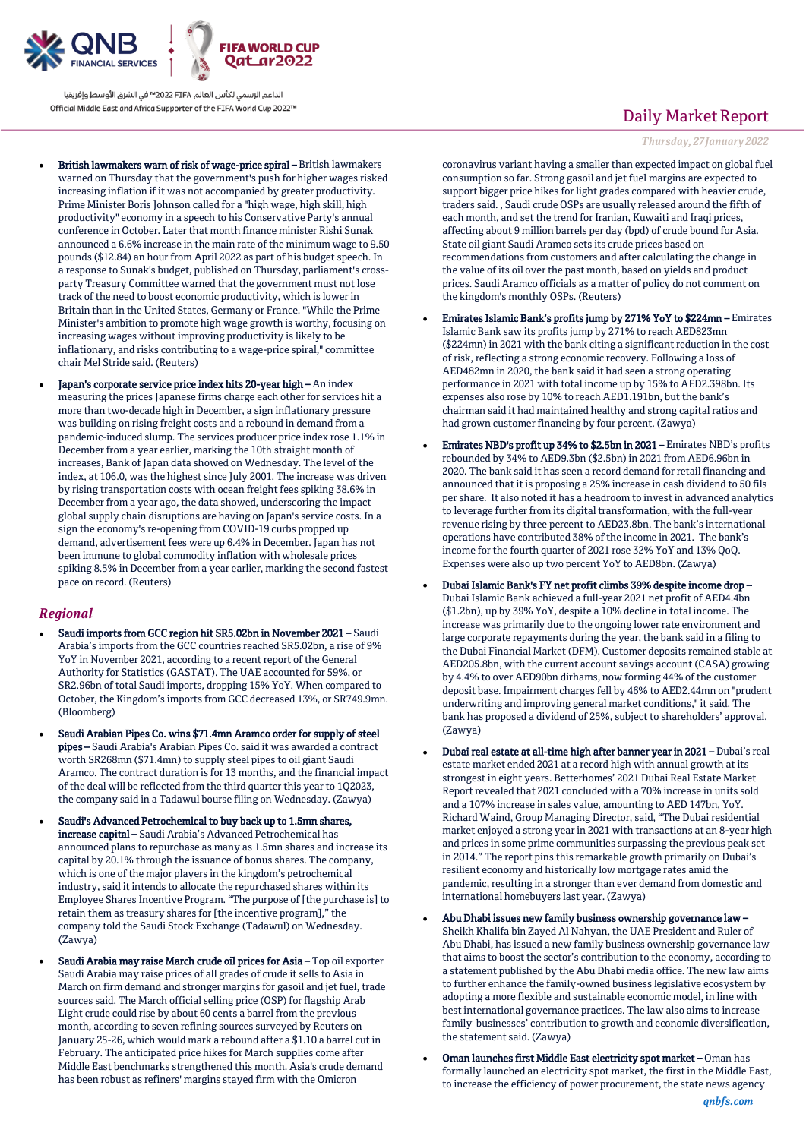

الداعم الرسمى لكأس العالم PIFA™ في الشرق الأوسط وإفريقيا Official Middle East and Africa Supporter of the FIFA World Cup 2022™

- British lawmakers warn of risk of wage-price spiral British lawmakers warned on Thursday that the government's push for higher wages risked increasing inflation if it was not accompanied by greater productivity. Prime Minister Boris Johnson called for a "high wage, high skill, high productivity" economy in a speech to his Conservative Party's annual conference in October. Later that month finance minister Rishi Sunak announced a 6.6% increase in the main rate of the minimum wage to 9.50 pounds (\$12.84) an hour from April 2022 as part of his budget speech. In a response to Sunak's budget, published on Thursday, parliament's crossparty Treasury Committee warned that the government must not lose track of the need to boost economic productivity, which is lower in Britain than in the United States, Germany or France. "While the Prime Minister's ambition to promote high wage growth is worthy, focusing on increasing wages without improving productivity is likely to be inflationary, and risks contributing to a wage-price spiral," committee chair Mel Stride said. (Reuters)
- Japan's corporate service price index hits 20-year high An index measuring the prices Japanese firms charge each other for services hit a more than two-decade high in December, a sign inflationary pressure was building on rising freight costs and a rebound in demand from a pandemic-induced slump. The services producer price index rose 1.1% in December from a year earlier, marking the 10th straight month of increases, Bank of Japan data showed on Wednesday. The level of the index, at 106.0, was the highest since July 2001. The increase was driven by rising transportation costs with ocean freight fees spiking 38.6% in December from a year ago, the data showed, underscoring the impact global supply chain disruptions are having on Japan's service costs. In a sign the economy's re-opening from COVID-19 curbs propped up demand, advertisement fees were up 6.4% in December. Japan has not been immune to global commodity inflation with wholesale prices spiking 8.5% in December from a year earlier, marking the second fastest pace on record. (Reuters)

#### *Regional*

- Saudi imports from GCC region hit SR5.02bn in November 2021 Saudi Arabia's imports from the GCC countries reached SR5.02bn, a rise of 9% YoY in November 2021, according to a recent report of the General Authority for Statistics (GASTAT). The UAE accounted for 59%, or SR2.96bn of total Saudi imports, dropping 15% YoY. When compared to October, the Kingdom's imports from GCC decreased 13%, or SR749.9mn. (Bloomberg)
- Saudi Arabian Pipes Co. wins \$71.4mn Aramco order for supply of steel pipes – Saudi Arabia's Arabian Pipes Co. said it was awarded a contract worth SR268mn (\$71.4mn) to supply steel pipes to oil giant Saudi Aramco. The contract duration is for 13 months, and the financial impact of the deal will be reflected from the third quarter this year to 1Q2023, the company said in a Tadawul bourse filing on Wednesday. (Zawya)
- Saudi's Advanced Petrochemical to buy back up to 1.5mn shares, increase capital – Saudi Arabia's Advanced Petrochemical has announced plans to repurchase as many as 1.5mn shares and increase its capital by 20.1% through the issuance of bonus shares. The company, which is one of the major players in the kingdom's petrochemical industry, said it intends to allocate the repurchased shares within its Employee Shares Incentive Program. "The purpose of [the purchase is] to retain them as treasury shares for [the incentive program]," the company told the Saudi Stock Exchange (Tadawul) on Wednesday. (Zawya)
- Saudi Arabia may raise March crude oil prices for Asia Top oil exporter Saudi Arabia may raise prices of all grades of crude it sells to Asia in March on firm demand and stronger margins for gasoil and jet fuel, trade sources said. The March official selling price (OSP) for flagship Arab Light crude could rise by about 60 cents a barrel from the previous month, according to seven refining sources surveyed by Reuters on January 25-26, which would mark a rebound after a \$1.10 a barrel cut in February. The anticipated price hikes for March supplies come after Middle East benchmarks strengthened this month. Asia's crude demand has been robust as refiners' margins stayed firm with the Omicron

## Daily Market Report

*Thursday, 27January 2022*

coronavirus variant having a smaller than expected impact on global fuel consumption so far. Strong gasoil and jet fuel margins are expected to support bigger price hikes for light grades compared with heavier crude, traders said. , Saudi crude OSPs are usually released around the fifth of each month, and set the trend for Iranian, Kuwaiti and Iraqi prices, affecting about 9 million barrels per day (bpd) of crude bound for Asia. State oil giant Saudi Aramco sets its crude prices based on recommendations from customers and after calculating the change in the value of its oil over the past month, based on yields and product prices. Saudi Aramco officials as a matter of policy do not comment on the kingdom's monthly OSPs. (Reuters)

- Emirates Islamic Bank's profits jump by 271% YoY to \$224mn Emirates Islamic Bank saw its profits jump by 271% to reach AED823mn (\$224mn) in 2021 with the bank citing a significant reduction in the cost of risk, reflecting a strong economic recovery. Following a loss of AED482mn in 2020, the bank said it had seen a strong operating performance in 2021 with total income up by 15% to AED2.398bn. Its expenses also rose by 10% to reach AED1.191bn, but the bank's chairman said it had maintained healthy and strong capital ratios and had grown customer financing by four percent. (Zawya)
- Emirates NBD's profit up 34% to \$2.5bn in 2021 Emirates NBD's profits rebounded by 34% to AED9.3bn (\$2.5bn) in 2021 from AED6.96bn in 2020. The bank said it has seen a record demand for retail financing and announced that it is proposing a 25% increase in cash dividend to 50 fils per share. It also noted it has a headroom to invest in advanced analytics to leverage further from its digital transformation, with the full-year revenue rising by three percent to AED23.8bn. The bank's international operations have contributed 38% of the income in 2021. The bank's income for the fourth quarter of 2021 rose 32% YoY and 13% QoQ. Expenses were also up two percent YoY to AED8bn. (Zawya)
- Dubai Islamic Bank's FY net profit climbs 39% despite income drop Dubai Islamic Bank achieved a full-year 2021 net profit of AED4.4bn (\$1.2bn), up by 39% YoY, despite a 10% decline in total income. The increase was primarily due to the ongoing lower rate environment and large corporate repayments during the year, the bank said in a filing to the Dubai Financial Market (DFM). Customer deposits remained stable at AED205.8bn, with the current account savings account (CASA) growing by 4.4% to over AED90bn dirhams, now forming 44% of the customer deposit base. Impairment charges fell by 46% to AED2.44mn on "prudent underwriting and improving general market conditions," it said. The bank has proposed a dividend of 25%, subject to shareholders' approval. (Zawya)
- Dubai real estate at all-time high after banner year in 2021 Dubai's real estate market ended 2021 at a record high with annual growth at its strongest in eight years. Betterhomes' 2021 Dubai Real Estate Market Report revealed that 2021 concluded with a 70% increase in units sold and a 107% increase in sales value, amounting to AED 147bn, YoY. Richard Waind, Group Managing Director, said, "The Dubai residential market enjoyed a strong year in 2021 with transactions at an 8-year high and prices in some prime communities surpassing the previous peak set in 2014." The report pins this remarkable growth primarily on Dubai's resilient economy and historically low mortgage rates amid the pandemic, resulting in a stronger than ever demand from domestic and international homebuyers last year. (Zawya)
- Abu Dhabi issues new family business ownership governance law Sheikh Khalifa bin Zayed Al Nahyan, the UAE President and Ruler of Abu Dhabi, has issued a new family business ownership governance law that aims to boost the sector's contribution to the economy, according to a statement published by the Abu Dhabi media office. The new law aims to further enhance the family-owned business legislative ecosystem by adopting a more flexible and sustainable economic model, in line with best international governance practices. The law also aims to increase family businesses' contribution to growth and economic diversification, the statement said. (Zawya)
- Oman launches first Middle East electricity spot market Oman has formally launched an electricity spot market, the first in the Middle East, to increase the efficiency of power procurement, the state news agency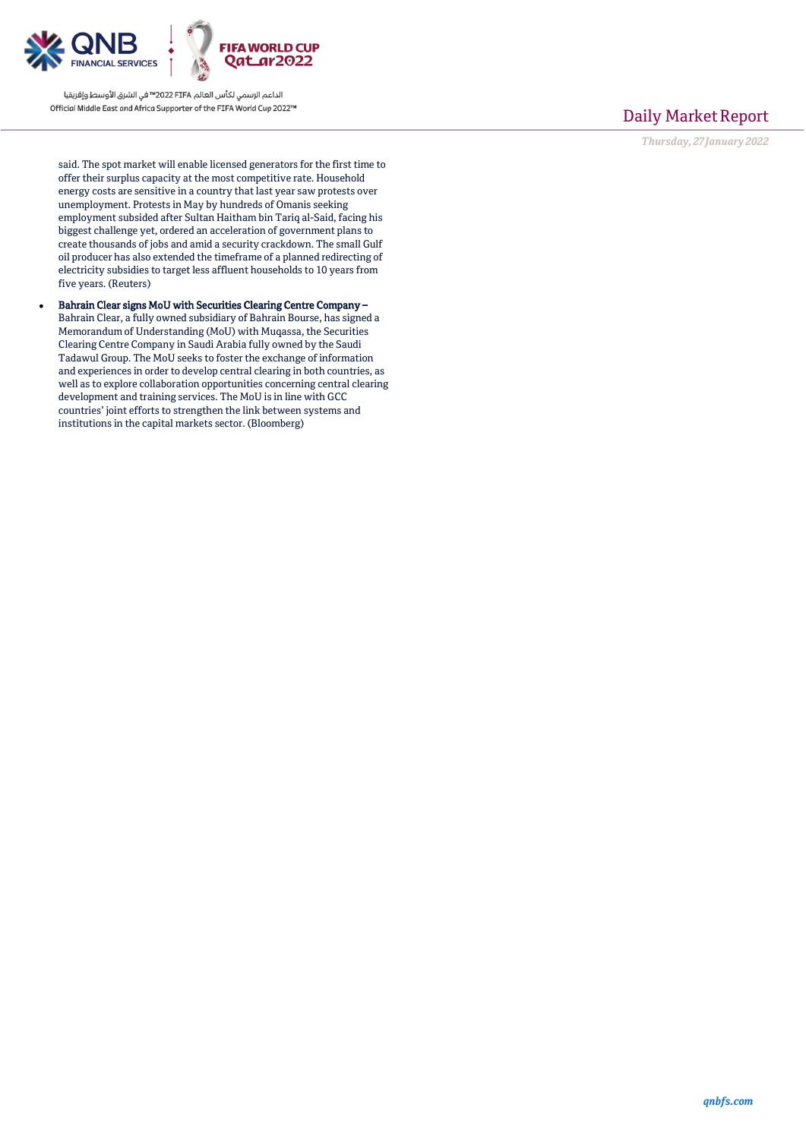

الداعم الرسمي لكأس العالم PIFA™ في الشرق الأوسط وإفريقيا Official Middle East and Africa Supporter of the FIFA World Cup 2022™

## Daily Market Report

*Thursday, 27January 2022*

said. The spot market will enable licensed generators for the first time to offer their surplus capacity at the most competitive rate. Household energy costs are sensitive in a country that last year saw protests over unemployment. Protests in May by hundreds of Omanis seeking employment subsided after Sultan Haitham bin Tariq al-Said, facing his biggest challenge yet, ordered an acceleration of government plans to create thousands of jobs and amid a security crackdown. The small Gulf oil producer has also extended the timeframe of a planned redirecting of electricity subsidies to target less affluent households to 10 years from five years. (Reuters)

 Bahrain Clear signs MoU with Securities Clearing Centre Company – Bahrain Clear, a fully owned subsidiary of Bahrain Bourse, has signed a Memorandum of Understanding (MoU) with Muqassa, the Securities Clearing Centre Company in Saudi Arabia fully owned by the Saudi Tadawul Group. The MoU seeks to foster the exchange of information and experiences in order to develop central clearing in both countries, as well as to explore collaboration opportunities concerning central clearing development and training services. The MoU is in line with GCC countries' joint efforts to strengthen the link between systems and institutions in the capital markets sector. (Bloomberg)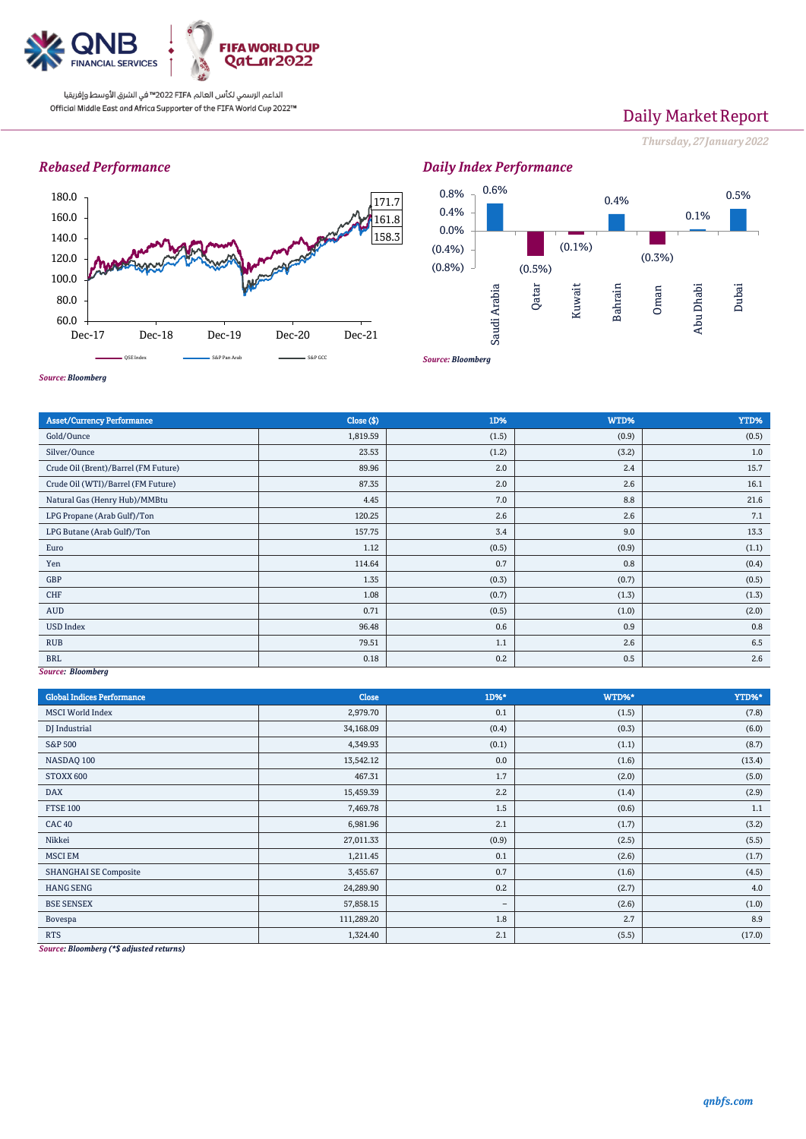

الداعم الرسمي لكأس العالم PIFA™ في الشرق الأوسط وإفريقيا Official Middle East and Africa Supporter of the FIFA World Cup 2022™

# Daily Market Report

*Thursday, 27January 2022*

### *Rebased Performance*



*Source: Bloomberg* 0.6% (0.5%)  $(0.1\%)$ 0.4% (0.3%) 0.1% 0.5% (0.8%)  $(0.4% )$ 0.0% 0.4% 0.8% Saudi Arabia Qatar Kuwait Bahrain Oman Abu Dhabi Dubai

*Daily Index Performance*

*Source: Bloomberg*

| <b>Asset/Currency Performance</b>    | Close ( \$) | 1D%   | WTD%  | YTD%  |
|--------------------------------------|-------------|-------|-------|-------|
| Gold/Ounce                           | 1,819.59    | (1.5) | (0.9) | (0.5) |
| Silver/Ounce                         | 23.53       | (1.2) | (3.2) | 1.0   |
| Crude Oil (Brent)/Barrel (FM Future) | 89.96       | 2.0   | 2.4   | 15.7  |
| Crude Oil (WTI)/Barrel (FM Future)   | 87.35       | 2.0   | 2.6   | 16.1  |
| Natural Gas (Henry Hub)/MMBtu        | 4.45        | 7.0   | 8.8   | 21.6  |
| LPG Propane (Arab Gulf)/Ton          | 120.25      | 2.6   | 2.6   | 7.1   |
| LPG Butane (Arab Gulf)/Ton           | 157.75      | 3.4   | 9.0   | 13.3  |
| Euro                                 | 1.12        | (0.5) | (0.9) | (1.1) |
| Yen                                  | 114.64      | 0.7   | 0.8   | (0.4) |
| GBP                                  | 1.35        | (0.3) | (0.7) | (0.5) |
| CHF                                  | 1.08        | (0.7) | (1.3) | (1.3) |
| <b>AUD</b>                           | 0.71        | (0.5) | (1.0) | (2.0) |
| <b>USD Index</b>                     | 96.48       | 0.6   | 0.9   | 0.8   |
| <b>RUB</b>                           | 79.51       | 1.1   | 2.6   | 6.5   |
| <b>BRL</b>                           | 0.18        | 0.2   | 0.5   | 2.6   |
| Source: Bloomberg                    |             |       |       |       |

*Source: Bloomberg*

| <b>Global Indices Performance</b>                                                                                                                                                                                                                                                                                                                                 | <b>Close</b> | 1D%*              | WTD%* | YTD%*   |
|-------------------------------------------------------------------------------------------------------------------------------------------------------------------------------------------------------------------------------------------------------------------------------------------------------------------------------------------------------------------|--------------|-------------------|-------|---------|
| <b>MSCI</b> World Index                                                                                                                                                                                                                                                                                                                                           | 2,979.70     | 0.1               | (1.5) | (7.8)   |
| DJ Industrial                                                                                                                                                                                                                                                                                                                                                     | 34,168.09    | (0.4)             | (0.3) | (6.0)   |
| S&P 500                                                                                                                                                                                                                                                                                                                                                           | 4,349.93     | (0.1)             | (1.1) | (8.7)   |
| NASDAQ 100                                                                                                                                                                                                                                                                                                                                                        | 13,542.12    | 0.0               | (1.6) | (13.4)  |
| STOXX 600                                                                                                                                                                                                                                                                                                                                                         | 467.31       | 1.7               | (2.0) | (5.0)   |
| <b>DAX</b>                                                                                                                                                                                                                                                                                                                                                        | 15,459.39    | 2.2               | (1.4) | (2.9)   |
| <b>FTSE 100</b>                                                                                                                                                                                                                                                                                                                                                   | 7,469.78     | 1.5               | (0.6) | $1.1\,$ |
| <b>CAC 40</b>                                                                                                                                                                                                                                                                                                                                                     | 6,981.96     | 2.1               | (1.7) | (3.2)   |
| Nikkei                                                                                                                                                                                                                                                                                                                                                            | 27,011.33    | (0.9)             | (2.5) | (5.5)   |
| <b>MSCI EM</b>                                                                                                                                                                                                                                                                                                                                                    | 1,211.45     | 0.1               | (2.6) | (1.7)   |
| <b>SHANGHAI SE Composite</b>                                                                                                                                                                                                                                                                                                                                      | 3,455.67     | 0.7               | (1.6) | (4.5)   |
| <b>HANG SENG</b>                                                                                                                                                                                                                                                                                                                                                  | 24,289.90    | 0.2               | (2.7) | 4.0     |
| <b>BSE SENSEX</b>                                                                                                                                                                                                                                                                                                                                                 | 57,858.15    | $\qquad \qquad -$ | (2.6) | (1.0)   |
| Bovespa                                                                                                                                                                                                                                                                                                                                                           | 111,289.20   | 1.8               | 2.7   | 8.9     |
| <b>RTS</b><br>$\mathbf{B}$ $\mathbf{I}$ $\mathbf{I}$ $\mathbf{A}$ $\mathbf{A}$ $\mathbf{B}$ $\mathbf{B}$ $\mathbf{A}$ $\mathbf{A}$ $\mathbf{B}$ $\mathbf{A}$ $\mathbf{A}$ $\mathbf{B}$ $\mathbf{A}$ $\mathbf{A}$ $\mathbf{A}$ $\mathbf{A}$ $\mathbf{A}$ $\mathbf{A}$ $\mathbf{A}$ $\mathbf{A}$ $\mathbf{A}$ $\mathbf{A}$ $\mathbf{A}$ $\mathbf{$<br>$\sim$ $\sim$ | 1,324.40     | 2.1               | (5.5) | (17.0)  |

*Source: Bloomberg (\*\$ adjusted returns)*